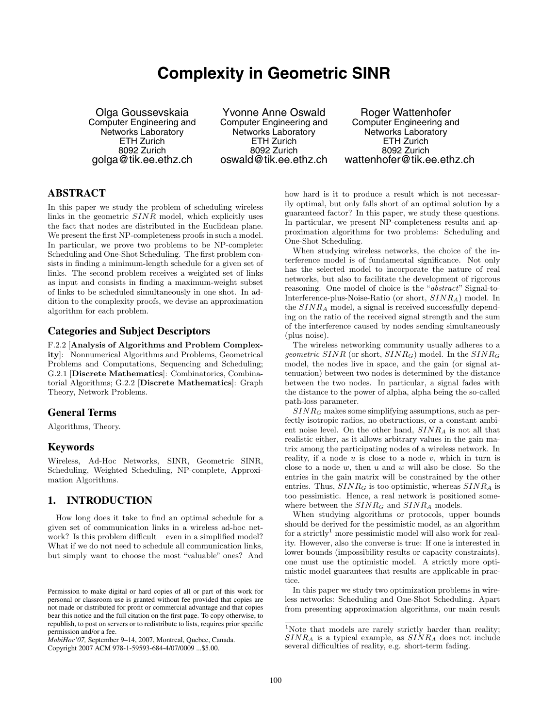# **Complexity in Geometric SINR**

Olga Goussevskaia Computer Engineering and Networks Laboratory ETH Zurich 8092 Zurich golga@tik.ee.ethz.ch

Yvonne Anne Oswald Computer Engineering and Networks Laboratory ETH Zurich 8092 Zurich oswald@tik.ee.ethz.ch

Roger Wattenhofer Computer Engineering and Networks Laboratory ETH Zurich 8092 Zurich wattenhofer@tik.ee.ethz.ch

### **ABSTRACT**

In this paper we study the problem of scheduling wireless links in the geometric  $SINR$  model, which explicitly uses the fact that nodes are distributed in the Euclidean plane. We present the first NP-completeness proofs in such a model. In particular, we prove two problems to be NP-complete: Scheduling and One-Shot Scheduling. The first problem consists in finding a minimum-length schedule for a given set of links. The second problem receives a weighted set of links as input and consists in finding a maximum-weight subset of links to be scheduled simultaneously in one shot. In addition to the complexity proofs, we devise an approximation algorithm for each problem.

### **Categories and Subject Descriptors**

F.2.2 [Analysis of Algorithms and Problem Complexity]: Nonnumerical Algorithms and Problems, Geometrical Problems and Computations, Sequencing and Scheduling; G.2.1 [Discrete Mathematics]: Combinatorics, Combinatorial Algorithms; G.2.2 [Discrete Mathematics]: Graph Theory, Network Problems.

### **General Terms**

Algorithms, Theory.

### **Keywords**

Wireless, Ad-Hoc Networks, SINR, Geometric SINR, Scheduling, Weighted Scheduling, NP-complete, Approximation Algorithms.

### **1. INTRODUCTION**

How long does it take to find an optimal schedule for a given set of communication links in a wireless ad-hoc network? Is this problem difficult – even in a simplified model? What if we do not need to schedule all communication links, but simply want to choose the most "valuable" ones? And

*MobiHoc'07,* September 9–14, 2007, Montreal, Quebec, Canada. Copyright 2007 ACM 978-1-59593-684-4/07/0009 ...\$5.00.

how hard is it to produce a result which is not necessarily optimal, but only falls short of an optimal solution by a guaranteed factor? In this paper, we study these questions. In particular, we present NP-completeness results and approximation algorithms for two problems: Scheduling and One-Shot Scheduling.

When studying wireless networks, the choice of the interference model is of fundamental significance. Not only has the selected model to incorporate the nature of real networks, but also to facilitate the development of rigorous reasoning. One model of choice is the "abstract" Signal-to-Interference-plus-Noise-Ratio (or short, SINRA) model. In the  $SINR<sub>A</sub>$  model, a signal is received successfully depending on the ratio of the received signal strength and the sum of the interference caused by nodes sending simultaneously (plus noise).

The wireless networking community usually adheres to a geometric  $SINR$  (or short,  $SINR_G$ ) model. In the  $SINR_G$ model, the nodes live in space, and the gain (or signal attenuation) between two nodes is determined by the distance between the two nodes. In particular, a signal fades with the distance to the power of alpha, alpha being the so-called path-loss parameter.

 $SINR_G$  makes some simplifying assumptions, such as perfectly isotropic radios, no obstructions, or a constant ambient noise level. On the other hand,  $SINR_A$  is not all that realistic either, as it allows arbitrary values in the gain matrix among the participating nodes of a wireless network. In reality, if a node  $u$  is close to a node  $v$ , which in turn is close to a node  $w$ , then  $u$  and  $w$  will also be close. So the entries in the gain matrix will be constrained by the other entries. Thus,  $SINR_G$  is too optimistic, whereas  $SINR_A$  is too pessimistic. Hence, a real network is positioned somewhere between the  $SINR_G$  and  $SINR_A$  models.

When studying algorithms or protocols, upper bounds should be derived for the pessimistic model, as an algorithm for a strictly<sup>1</sup> more pessimistic model will also work for reality. However, also the converse is true: If one is interested in lower bounds (impossibility results or capacity constraints), one must use the optimistic model. A strictly more optimistic model guarantees that results are applicable in practice.

In this paper we study two optimization problems in wireless networks: Scheduling and One-Shot Scheduling. Apart from presenting approximation algorithms, our main result

Permission to make digital or hard copies of all or part of this work for personal or classroom use is granted without fee provided that copies are not made or distributed for profit or commercial advantage and that copies bear this notice and the full citation on the first page. To copy otherwise, to republish, to post on servers or to redistribute to lists, requires prior specific permission and/or a fee.

<sup>&</sup>lt;sup>1</sup>Note that models are rarely strictly harder than reality;  $SINR<sub>A</sub>$  is a typical example, as  $SINR<sub>A</sub>$  does not include several difficulties of reality, e.g. short-term fading.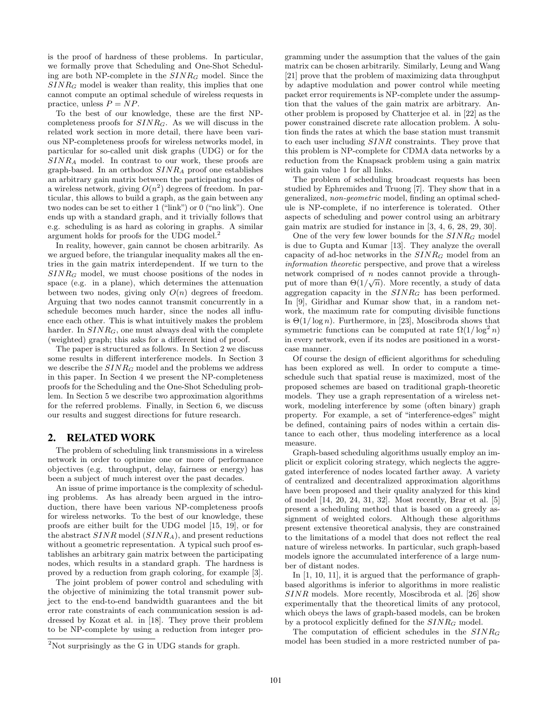is the proof of hardness of these problems. In particular, we formally prove that Scheduling and One-Shot Scheduling are both NP-complete in the  $SINR_G$  model. Since the  $SINR_G$  model is weaker than reality, this implies that one cannot compute an optimal schedule of wireless requests in practice, unless  $P = NP$ .

To the best of our knowledge, these are the first NPcompleteness proofs for  $SINR_G$ . As we will discuss in the related work section in more detail, there have been various NP-completeness proofs for wireless networks model, in particular for so-called unit disk graphs (UDG) or for the  $SINR<sub>A</sub>$  model. In contrast to our work, these proofs are graph-based. In an orthodox  $SINR_A$  proof one establishes an arbitrary gain matrix between the participating nodes of a wireless network, giving  $O(n^2)$  degrees of freedom. In particular, this allows to build a graph, as the gain between any two nodes can be set to either 1 ("link") or 0 ("no link"). One ends up with a standard graph, and it trivially follows that e.g. scheduling is as hard as coloring in graphs. A similar argument holds for proofs for the UDG model.<sup>2</sup>

In reality, however, gain cannot be chosen arbitrarily. As we argued before, the triangular inequality makes all the entries in the gain matrix interdependent. If we turn to the  $SINR_G$  model, we must choose positions of the nodes in space (e.g. in a plane), which determines the attenuation between two nodes, giving only  $O(n)$  degrees of freedom. Arguing that two nodes cannot transmit concurrently in a schedule becomes much harder, since the nodes all influence each other. This is what intuitively makes the problem harder. In  $SINR<sub>G</sub>$ , one must always deal with the complete (weighted) graph; this asks for a different kind of proof.

The paper is structured as follows. In Section 2 we discuss some results in different interference models. In Section 3 we describe the  $SINR_G$  model and the problems we address in this paper. In Section 4 we present the NP-completeness proofs for the Scheduling and the One-Shot Scheduling problem. In Section 5 we describe two approximation algorithms for the referred problems. Finally, in Section 6, we discuss our results and suggest directions for future research.

### **2. RELATED WORK**

The problem of scheduling link transmissions in a wireless network in order to optimize one or more of performance objectives (e.g. throughput, delay, fairness or energy) has been a subject of much interest over the past decades.

An issue of prime importance is the complexity of scheduling problems. As has already been argued in the introduction, there have been various NP-completeness proofs for wireless networks. To the best of our knowledge, these proofs are either built for the UDG model [15, 19], or for the abstract  $SINR$  model  $(SINR_A)$ , and present reductions without a geometric representation. A typical such proof establishes an arbitrary gain matrix between the participating nodes, which results in a standard graph. The hardness is proved by a reduction from graph coloring, for example [3].

The joint problem of power control and scheduling with the objective of minimizing the total transmit power subject to the end-to-end bandwidth guarantees and the bit error rate constraints of each communication session is addressed by Kozat et al. in [18]. They prove their problem to be NP-complete by using a reduction from integer programming under the assumption that the values of the gain matrix can be chosen arbitrarily. Similarly, Leung and Wang [21] prove that the problem of maximizing data throughput by adaptive modulation and power control while meeting packet error requirements is NP-complete under the assumption that the values of the gain matrix are arbitrary. Another problem is proposed by Chatterjee et al. in [22] as the power constrained discrete rate allocation problem. A solution finds the rates at which the base station must transmit to each user including SINR constraints. They prove that this problem is NP-complete for CDMA data networks by a reduction from the Knapsack problem using a gain matrix with gain value 1 for all links.

The problem of scheduling broadcast requests has been studied by Ephremides and Truong [7]. They show that in a generalized, non-geometric model, finding an optimal schedule is NP-complete, if no interference is tolerated. Other aspects of scheduling and power control using an arbitrary gain matrix are studied for instance in [3, 4, 6, 28, 29, 30].

One of the very few lower bounds for the  $SINR_G$  model is due to Gupta and Kumar [13]. They analyze the overall capacity of ad-hoc networks in the  $SINR_G$  model from an information theoretic perspective, and prove that a wireless network comprised of n nodes cannot provide a throughput of more than  $\Theta(1/\sqrt{n})$ . More recently, a study of data aggregation capacity in the  $SINR_G$  has been performed. In [9], Giridhar and Kumar show that, in a random network, the maximum rate for computing divisible functions is  $\Theta(1/\log n)$ . Furthermore, in [23], Moscibroda shows that symmetric functions can be computed at rate  $\Omega(1/\log^2 n)$ in every network, even if its nodes are positioned in a worstcase manner.

Of course the design of efficient algorithms for scheduling has been explored as well. In order to compute a timeschedule such that spatial reuse is maximized, most of the proposed schemes are based on traditional graph-theoretic models. They use a graph representation of a wireless network, modeling interference by some (often binary) graph property. For example, a set of "interference-edges" might be defined, containing pairs of nodes within a certain distance to each other, thus modeling interference as a local measure.

Graph-based scheduling algorithms usually employ an implicit or explicit coloring strategy, which neglects the aggregated interference of nodes located farther away. A variety of centralized and decentralized approximation algorithms have been proposed and their quality analyzed for this kind of model [14, 20, 24, 31, 32]. Most recently, Brar et al. [5] present a scheduling method that is based on a greedy assignment of weighted colors. Although these algorithms present extensive theoretical analysis, they are constrained to the limitations of a model that does not reflect the real nature of wireless networks. In particular, such graph-based models ignore the accumulated interference of a large number of distant nodes.

In [1, 10, 11], it is argued that the performance of graphbased algorithms is inferior to algorithms in more realistic SINR models. More recently, Moscibroda et al. [26] show experimentally that the theoretical limits of any protocol, which obeys the laws of graph-based models, can be broken by a protocol explicitly defined for the  $SINR<sub>G</sub>$  model.

The computation of efficient schedules in the  $SINR_G$ model has been studied in a more restricted number of pa-

 $2$ Not surprisingly as the G in UDG stands for graph.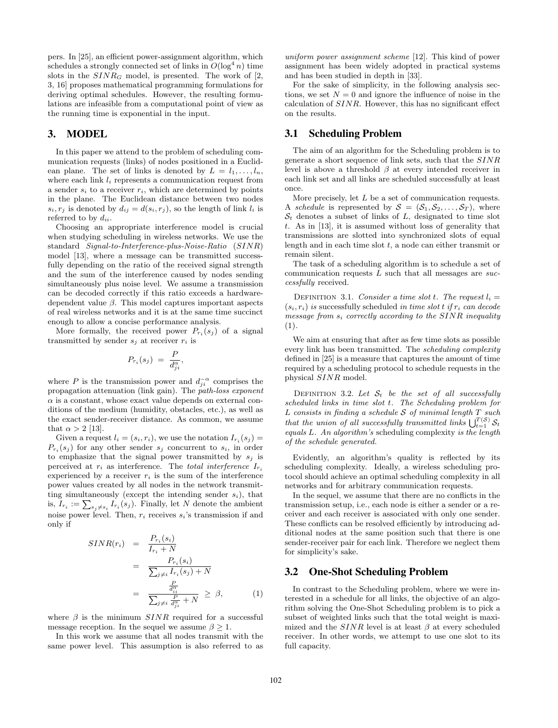pers. In [25], an efficient power-assignment algorithm, which schedules a strongly connected set of links in  $O(\log^4 n)$  time slots in the  $SINR_G$  model, is presented. The work of [2, 3, 16] proposes mathematical programming formulations for deriving optimal schedules. However, the resulting formulations are infeasible from a computational point of view as the running time is exponential in the input.

### **3. MODEL**

In this paper we attend to the problem of scheduling communication requests (links) of nodes positioned in a Euclidean plane. The set of links is denoted by  $L = l_1, \ldots, l_n$ , where each link  $l_i$  represents a communication request from a sender  $s_i$  to a receiver  $r_i$ , which are determined by points in the plane. The Euclidean distance between two nodes  $s_i, r_j$  is denoted by  $d_{ij} = d(s_i, r_j)$ , so the length of link  $l_i$  is referred to by  $d_{ii}$ .

Choosing an appropriate interference model is crucial when studying scheduling in wireless networks. We use the standard Signal-to-Interference-plus-Noise-Ratio (SINR) model [13], where a message can be transmitted successfully depending on the ratio of the received signal strength and the sum of the interference caused by nodes sending simultaneously plus noise level. We assume a transmission can be decoded correctly if this ratio exceeds a hardwaredependent value  $\beta$ . This model captures important aspects of real wireless networks and it is at the same time succinct enough to allow a concise performance analysis.

More formally, the received power  $P_{r_i}(s_j)$  of a signal transmitted by sender  $s_j$  at receiver  $r_i$  is

$$
P_{r_i}(s_j) = \frac{P}{d_{ji}^{\alpha}},
$$

where P is the transmission power and  $d_{ji}^{-\alpha}$  comprises the propagation attenuation (link gain). The *path-loss exponent*  $\alpha$  is a constant, whose exact value depends on external conditions of the medium (humidity, obstacles, etc.), as well as the exact sender-receiver distance. As common, we assume that  $\alpha > 2$  [13].

Given a request  $l_i = (s_i, r_i)$ , we use the notation  $I_{r_i}(s_i) =$  $P_{r_i}(s_j)$  for any other sender  $s_j$  concurrent to  $s_i$ , in order to emphasize that the signal power transmitted by  $s_j$  is perceived at  $r_i$  as interference. The *total interference*  $I_{r_i}$ experienced by a receiver  $r_i$  is the sum of the interference power values created by all nodes in the network transmitting simultaneously (except the intending sender  $s_i$ ), that is,  $I_{r_i} := \sum_{s_j \neq s_i} I_{r_i}(s_j)$ . Finally, let N denote the ambient noise power level. Then,  $r_i$  receives  $s_i$ 's transmission if and only if

$$
SINR(r_i) = \frac{P_{r_i}(s_i)}{I_{r_i} + N}
$$
  
= 
$$
\frac{P_{r_i}(s_i)}{\sum_{j \neq i} I_{r_i}(s_j) + N}
$$
  
= 
$$
\frac{\frac{P}{d_{\text{tr}}^{\alpha}}}{\sum_{j \neq i} \frac{P}{d_{\text{tr}}^{\alpha}} + N} \geq \beta,
$$
 (1)

where  $\beta$  is the minimum  $SINR$  required for a successful message reception. In the sequel we assume  $\beta \geq 1$ .

In this work we assume that all nodes transmit with the same power level. This assumption is also referred to as uniform power assignment scheme [12]. This kind of power assignment has been widely adopted in practical systems and has been studied in depth in [33].

For the sake of simplicity, in the following analysis sections, we set  $N = 0$  and ignore the influence of noise in the calculation of SINR. However, this has no significant effect on the results.

### **3.1 Scheduling Problem**

The aim of an algorithm for the Scheduling problem is to generate a short sequence of link sets, such that the SINR level is above a threshold  $\beta$  at every intended receiver in each link set and all links are scheduled successfully at least once.

More precisely, let  $L$  be a set of communication requests. A schedule is represented by  $S = (S_1, S_2, \ldots, S_T)$ , where  $S_t$  denotes a subset of links of L, designated to time slot t. As in [13], it is assumed without loss of generality that transmissions are slotted into synchronized slots of equal length and in each time slot  $t$ , a node can either transmit or remain silent.

The task of a scheduling algorithm is to schedule a set of communication requests  $L$  such that all messages are successfully received.

DEFINITION 3.1. Consider a time slot t. The request  $l_i =$  $(s_i, r_i)$  is successfully scheduled in time slot t if  $r_i$  can decode message from  $s_i$  correctly according to the SINR inequality (1).

We aim at ensuring that after as few time slots as possible every link has been transmitted. The scheduling complexity defined in [25] is a measure that captures the amount of time required by a scheduling protocol to schedule requests in the physical SINR model.

DEFINITION 3.2. Let  $S_t$  be the set of all successfully scheduled links in time slot t. The Scheduling problem for  $L$  consists in finding a schedule  $S$  of minimal length  $T$  such that the union of all successfully transmitted links  $\bigcup_{t=1}^{T(S)} S_t$ equals L. An algorithm's scheduling complexity is the length of the schedule generated.

Evidently, an algorithm's quality is reflected by its scheduling complexity. Ideally, a wireless scheduling protocol should achieve an optimal scheduling complexity in all networks and for arbitrary communication requests.

In the sequel, we assume that there are no conflicts in the transmission setup, i.e., each node is either a sender or a receiver and each receiver is associated with only one sender. These conflicts can be resolved efficiently by introducing additional nodes at the same position such that there is one sender-receiver pair for each link. Therefore we neglect them for simplicity's sake.

### **3.2 One-Shot Scheduling Problem**

In contrast to the Scheduling problem, where we were interested in a schedule for all links, the objective of an algorithm solving the One-Shot Scheduling problem is to pick a subset of weighted links such that the total weight is maximized and the  $SINR$  level is at least  $\beta$  at every scheduled receiver. In other words, we attempt to use one slot to its full capacity.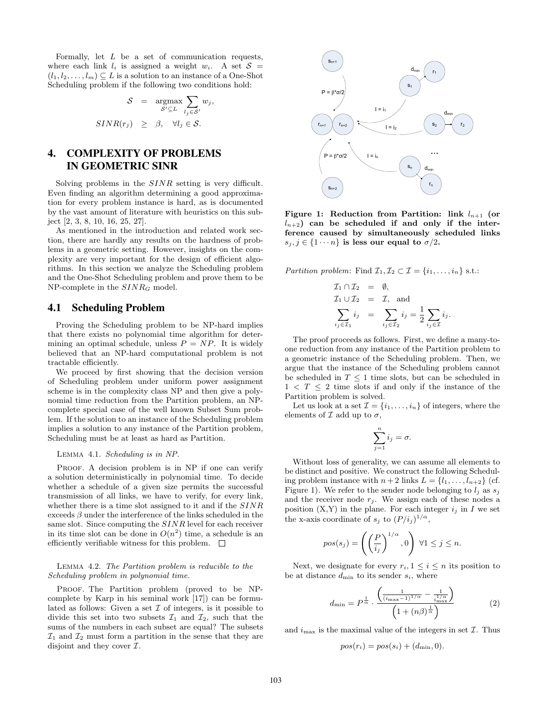Formally, let  $L$  be a set of communication requests, where each link  $l_i$  is assigned a weight  $w_i$ . A set  $S =$  $(l_1, l_2, \ldots, l_m) \subseteq L$  is a solution to an instance of a One-Shot Scheduling problem if the following two conditions hold:

$$
S = \underset{S' \subseteq L}{\text{argmax}} \sum_{i_j \in S'} w_j,
$$
  

$$
SINR(r_j) \geq \beta, \quad \forall i_j \in S.
$$

# **4. COMPLEXITY OF PROBLEMS IN GEOMETRIC SINR**

Solving problems in the SINR setting is very difficult. Even finding an algorithm determining a good approximation for every problem instance is hard, as is documented by the vast amount of literature with heuristics on this subject [2, 3, 8, 10, 16, 25, 27].

As mentioned in the introduction and related work section, there are hardly any results on the hardness of problems in a geometric setting. However, insights on the complexity are very important for the design of efficient algorithms. In this section we analyze the Scheduling problem and the One-Shot Scheduling problem and prove them to be  $NP$ -complete in the  $SINR_G$  model.

### **4.1 Scheduling Problem**

Proving the Scheduling problem to be NP-hard implies that there exists no polynomial time algorithm for determining an optimal schedule, unless  $P = NP$ . It is widely believed that an NP-hard computational problem is not tractable efficiently.

We proceed by first showing that the decision version of Scheduling problem under uniform power assignment scheme is in the complexity class NP and then give a polynomial time reduction from the Partition problem, an NPcomplete special case of the well known Subset Sum problem. If the solution to an instance of the Scheduling problem implies a solution to any instance of the Partition problem, Scheduling must be at least as hard as Partition.

#### Lemma 4.1. Scheduling is in NP.

PROOF. A decision problem is in NP if one can verify a solution deterministically in polynomial time. To decide whether a schedule of a given size permits the successful transmission of all links, we have to verify, for every link, whether there is a time slot assigned to it and if the  $SINR$ exceeds  $\beta$  under the interference of the links scheduled in the same slot. Since computing the SINR level for each receiver in its time slot can be done in  $O(n^2)$  time, a schedule is an efficiently verifiable witness for this problem.  $\quad \Box$ 

#### Lemma 4.2. The Partition problem is reducible to the Scheduling problem in polynomial time.

PROOF. The Partition problem (proved to be NPcomplete by Karp in his seminal work [17]) can be formulated as follows: Given a set  $\mathcal I$  of integers, is it possible to divide this set into two subsets  $\mathcal{I}_1$  and  $\mathcal{I}_2$ , such that the sums of the numbers in each subset are equal? The subsets  $\mathcal{I}_1$  and  $\mathcal{I}_2$  must form a partition in the sense that they are disjoint and they cover  $\mathcal{I}.$ 



Figure 1: Reduction from Partition: link  $l_{n+1}$  (or  $l_{n+2}$ ) can be scheduled if and only if the interference caused by simultaneously scheduled links  $s_j, j \in \{1 \cdots n\}$  is less our equal to  $\sigma/2$ .

Partition problem: Find  $\mathcal{I}_1, \mathcal{I}_2 \subset \mathcal{I} = \{i_1, \ldots, i_n\}$  s.t.:

$$
\mathcal{I}_1 \cap \mathcal{I}_2 = \emptyset,
$$
  
\n
$$
\mathcal{I}_1 \cup \mathcal{I}_2 = \mathcal{I}, \text{ and}
$$
  
\n
$$
\sum_{i_j \in \mathcal{I}_1} i_j = \sum_{i_j \in \mathcal{I}_2} i_j = \frac{1}{2} \sum_{i_j \in \mathcal{I}} i_j.
$$

The proof proceeds as follows. First, we define a many-toone reduction from any instance of the Partition problem to a geometric instance of the Scheduling problem. Then, we argue that the instance of the Scheduling problem cannot be scheduled in  $T \leq 1$  time slots, but can be scheduled in  $1 < T \leq 2$  time slots if and only if the instance of the Partition problem is solved.

Let us look at a set  $\mathcal{I} = \{i_1, \ldots, i_n\}$  of integers, where the elements of  $\mathcal I$  add up to  $\sigma$ ,

$$
\sum_{j=1}^{n} i_j = \sigma.
$$

Without loss of generality, we can assume all elements to be distinct and positive. We construct the following Scheduling problem instance with  $n+2$  links  $L = \{l_1, \ldots, l_{n+2}\}$  (cf. Figure 1). We refer to the sender node belonging to  $l_i$  as  $s_j$ and the receiver node  $r_j$ . We assign each of these nodes a position  $(X,Y)$  in the plane. For each integer  $i_j$  in I we set the x-axis coordinate of  $s_j$  to  $(P/i_j)^{1/\alpha}$ ,

$$
pos(s_j) = \left( \left( \frac{P}{i_j} \right)^{1/\alpha}, 0 \right) \ \forall 1 \leq j \leq n.
$$

Next, we designate for every  $r_i, 1 \leq i \leq n$  its position to be at distance  $d_{\min}$  to its sender  $s_i$ , where

$$
d_{\min} = P^{\frac{1}{\alpha}} \cdot \frac{\left(\frac{1}{(i_{\max}-1)^{1/\alpha}} - \frac{1}{i_{\max}^{1/\alpha}}\right)}{\left(1 + (n\beta)^{\frac{1}{\alpha}}\right)}
$$
(2)

and  $i_{\text{max}}$  is the maximal value of the integers in set  $\mathcal{I}$ . Thus

$$
pos(r_i) = pos(s_i) + (d_{\min}, 0).
$$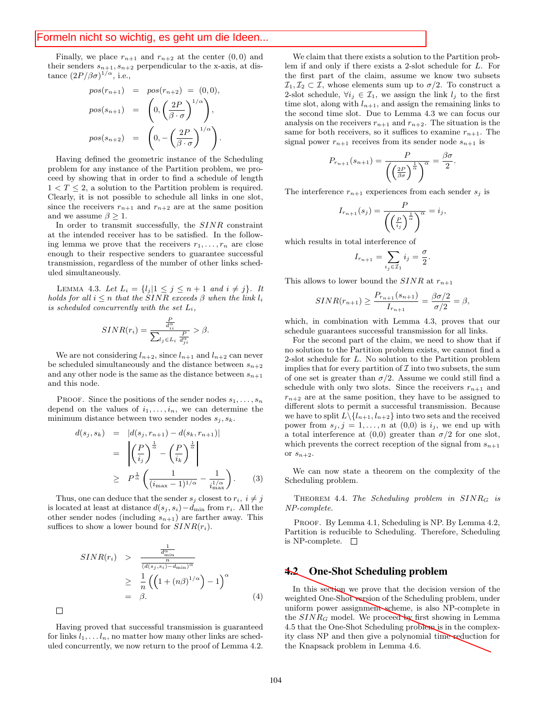Finally, we place  $r_{n+1}$  and  $r_{n+2}$  at the center  $(0,0)$  and their senders  $s_{n+1}, s_{n+2}$  perpendicular to the x-axis, at distance  $(2P/\beta\sigma)^{1/\alpha}$ , i.e.,

$$
pos(r_{n+1}) = pos(r_{n+2}) = (0,0),
$$
  
\n
$$
pos(s_{n+1}) = \left(0, \left(\frac{2P}{\beta \cdot \sigma}\right)^{1/\alpha}\right),
$$
  
\n
$$
pos(s_{n+2}) = \left(0, -\left(\frac{2P}{\beta \cdot \sigma}\right)^{1/\alpha}\right).
$$

Having defined the geometric instance of the Scheduling problem for any instance of the Partition problem, we proceed by showing that in order to find a schedule of length  $1 < T \leq 2$ , a solution to the Partition problem is required. Clearly, it is not possible to schedule all links in one slot, since the receivers  $r_{n+1}$  and  $r_{n+2}$  are at the same position and we assume  $\beta \geq 1$ .

In order to transmit successfully, the SINR constraint at the intended receiver has to be satisfied. In the following lemma we prove that the receivers  $r_1, \ldots, r_n$  are close enough to their respective senders to guarantee successful transmission, regardless of the number of other links scheduled simultaneously.

LEMMA 4.3. Let  $L_i = \{l_j | 1 \leq j \leq n+1 \text{ and } i \neq j\}$ . It holds for all  $i \leq n$  that the SINR exceeds  $\beta$  when the link  $l_i$ is scheduled concurrently with the set  $L_i$ ,

$$
SINR(r_i) = \frac{\frac{P}{d_{ii}^{\alpha}}}{\sum_{l_j \in L_i} \frac{P}{d_{ji}^{\alpha}}} > \beta.
$$

We are not considering  $l_{n+2}$ , since  $l_{n+1}$  and  $l_{n+2}$  can never be scheduled simultaneously and the distance between  $s_{n+2}$ and any other node is the same as the distance between  $s_{n+1}$ and this node.

PROOF. Since the positions of the sender nodes  $s_1, \ldots, s_n$ depend on the values of  $i_1,\ldots,i_n$ , we can determine the minimum distance between two sender nodes  $s_i, s_k$ .

$$
d(s_j, s_k) = |d(s_j, r_{n+1}) - d(s_k, r_{n+1})|
$$
  
= 
$$
\left| \left( \frac{P}{i_j} \right)^{\frac{1}{\alpha}} - \left( \frac{P}{i_k} \right)^{\frac{1}{\alpha}} \right|
$$
  

$$
\geq P^{\frac{1}{\alpha}} \left( \frac{1}{(i_{\max} - 1)^{1/\alpha}} - \frac{1}{i_{\max}^{1/\alpha}} \right).
$$
 (3)

Thus, one can deduce that the sender  $s_j$  closest to  $r_i$ ,  $i \neq j$ is located at least at distance  $d(s_j, s_i) - d_{\min}$  from  $r_i$ . All the other sender nodes (including  $s_{n+1}$ ) are farther away. This suffices to show a lower bound for  $SINR(r_i)$ .

$$
SINR(r_i) > \frac{\frac{1}{n_{\min}^{\alpha}}}{\frac{(d(s_j, s_i) - d_{\min})^{\alpha}}{n}} \geq \frac{1}{n} \left( \left( 1 + (n\beta)^{1/\alpha} \right) - 1 \right)^{\alpha} = \beta.
$$
 (4)

Having proved that successful transmission is guaranteed for links  $l_1, \ldots l_n$ , no matter how many other links are scheduled concurrently, we now return to the proof of Lemma 4.2.

 $\Box$ 

We claim that there exists a solution to the Partition problem if and only if there exists a 2-slot schedule for L. For the first part of the claim, assume we know two subsets  $\mathcal{I}_1, \mathcal{I}_2 \subset \mathcal{I}$ , whose elements sum up to  $\sigma/2$ . To construct a 2-slot schedule,  $\forall i_j \in \mathcal{I}_1$ , we assign the link  $l_j$  to the first time slot, along with  $l_{n+1}$ , and assign the remaining links to the second time slot. Due to Lemma 4.3 we can focus our analysis on the receivers  $r_{n+1}$  and  $r_{n+2}$ . The situation is the same for both receivers, so it suffices to examine  $r_{n+1}$ . The signal power  $r_{n+1}$  receives from its sender node  $s_{n+1}$  is

$$
P_{r_{n+1}}(s_{n+1}) = \frac{P}{\left(\left(\frac{2P}{\beta\sigma}\right)^{\frac{1}{\alpha}}\right)^{\alpha}} = \frac{\beta\sigma}{2}.
$$

The interference  $r_{n+1}$  experiences from each sender  $s_j$  is

$$
I_{r_{n+1}}(s_j) = \frac{P}{\left(\left(\frac{P}{i_j}\right)^{\frac{1}{\alpha}}\right)^{\alpha}} = i_j,
$$

which results in total interference of

$$
I_{r_{n+1}} = \sum_{i_j \in \mathcal{I}_1} i_j = \frac{\sigma}{2}.
$$

This allows to lower bound the  $SINR$  at  $r_{n+1}$ 

$$
SINR(r_{n+1}) \ge \frac{P_{r_{n+1}}(s_{n+1})}{I_{r_{n+1}}} = \frac{\beta \sigma/2}{\sigma/2} = \beta,
$$

which, in combination with Lemma 4.3, proves that our schedule guarantees successful transmission for all links.

For the second part of the claim, we need to show that if no solution to the Partition problem exists, we cannot find a 2-slot schedule for L. No solution to the Partition problem implies that for every partition of  $\mathcal I$  into two subsets, the sum of one set is greater than  $\sigma/2$ . Assume we could still find a schedule with only two slots. Since the receivers  $r_{n+1}$  and  $r_{n+2}$  are at the same position, they have to be assigned to different slots to permit a successful transmission. Because we have to split  $L \setminus \{l_{n+1}, l_{n+2}\}\$  into two sets and the received power from  $s_j$ ,  $j = 1, \ldots, n$  at  $(0,0)$  is  $i_j$ , we end up with a total interference at  $(0,0)$  greater than  $\sigma/2$  for one slot, which prevents the correct reception of the signal from  $s_{n+1}$ or  $s_{n+2}$ .

We can now state a theorem on the complexity of the Scheduling problem.

THEOREM 4.4. The Scheduling problem in  $SINR_G$  is NP-complete.

PROOF. By Lemma 4.1, Scheduling is NP. By Lemma 4.2, Partition is reducible to Scheduling. Therefore, Scheduling is NP-complete.  $\square$ 

#### **4.2 One-Shot Scheduling problem**

In this section we prove that the decision version of the weighted One-Shot version of the Scheduling problem, under uniform power assignment scheme, is also NP-complete in the  $SINR_G$  model. We proceed by first showing in Lemma 4.5 that the One-Shot Scheduling problem is in the complexity class NP and then give a polynomial time reduction for the Knapsack problem in Lemma 4.6.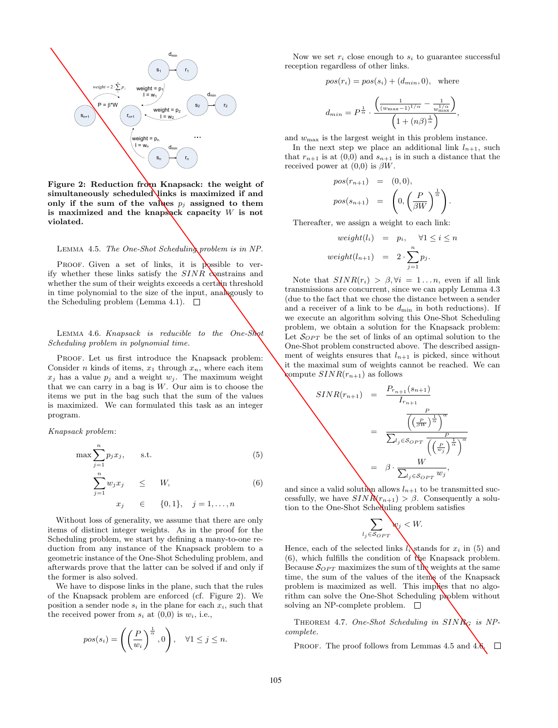

Figure 2: Reduction from Knapsack: the weight of simultaneously scheduled links is maximized if and only if the sum of the values  $p_i$  assigned to them is maximized and the knapsack capacity  $W$  is not violated.

LEMMA 4.5. The One-Shot Scheduling problem is in NP.

PROOF. Given a set of links, it is possible to verify whether these links satisfy the  $SINR$  constrains and whether the sum of their weights exceeds a certain threshold in time polynomial to the size of the input, analogously to the Scheduling problem (Lemma 4.1).  $\Box$ 

LEMMA 4.6. Knapsack is reducible to the One-Shot Scheduling problem in polynomial time.

PROOF. Let us first introduce the Knapsack problem: Consider *n* kinds of items,  $x_1$  through  $x_n$ , where each item  $x_i$  has a value  $p_i$  and a weight  $w_i$ . The maximum weight that we can carry in a bag is  $W$ . Our aim is to choose the items we put in the bag such that the sum of the values is maximized. We can formulated this task as an integer program.

Knapsack problem:

$$
\max \sum_{j=1}^{n} p_j x_j, \qquad \text{s.t.} \tag{5}
$$

$$
\sum_{j=1}^{n} w_j x_j \leq W, \qquad (6)
$$
  

$$
x_j \in \{0, 1\}, \quad j = 1, ..., n
$$

Without loss of generality, we assume that there are only items of distinct integer weights. As in the proof for the Scheduling problem, we start by defining a many-to-one reduction from any instance of the Knapsack problem to a geometric instance of the One-Shot Scheduling problem, and afterwards prove that the latter can be solved if and only if the former is also solved.

We have to dispose links in the plane, such that the rules of the Knapsack problem are enforced (cf. Figure 2). We position a sender node  $s_i$  in the plane for each  $x_i$ , such that the received power from  $s_i$  at  $(0,0)$  is  $w_i$ , i.e.,

$$
pos(s_i) = \left( \left( \frac{P}{w_i} \right)^{\frac{1}{\alpha}}, 0 \right), \quad \forall 1 \leq j \leq n.
$$

Now we set  $r_i$  close enough to  $s_i$  to guarantee successful reception regardless of other links.

$$
pos(r_i) = pos(s_i) + (d_{min}, 0), \text{ where}
$$

$$
d_{min} = P^{\frac{1}{\alpha}} \cdot \frac{\left(\frac{1}{(w_{max} - 1)^{1/\alpha}} - \frac{1}{w_{max}^{1/\alpha}}\right)}{\left(1 + (n\beta)^{\frac{1}{\alpha}}\right)},
$$

and  $w_{\text{max}}$  is the largest weight in this problem instance.

In the next step we place an additional link  $l_{n+1}$ , such that  $r_{n+1}$  is at  $(0,0)$  and  $s_{n+1}$  is in such a distance that the received power at  $(0,0)$  is  $\beta W$ .

$$
pos(r_{n+1}) = (0,0),
$$
  

$$
pos(s_{n+1}) = \left(0, \left(\frac{P}{\beta W}\right)^{\frac{1}{\alpha}}\right).
$$

Thereafter, we assign a weight to each link:

$$
weight(l_i) = p_i, \quad \forall 1 \le i \le n
$$
  

$$
weight(l_{n+1}) = 2 \cdot \sum_{j=1}^{n} p_j.
$$

Note that  $SINR(r_i) > \beta, \forall i = 1...n$ , even if all link transmissions are concurrent, since we can apply Lemma 4.3 (due to the fact that we chose the distance between a sender and a receiver of a link to be  $d_{\min}$  in both reductions). If we execute an algorithm solving this One-Shot Scheduling problem, we obtain a solution for the Knapsack problem: Let  $\mathcal{S}_{OPT}$  be the set of links of an optimal solution to the One-Shot problem constructed above. The described assignment of weights ensures that  $l_{n+1}$  is picked, since without it the maximal sum of weights cannot be reached. We can compute  $SINR(r_{n+1})$  as follows

$$
SINR(r_{n+1}) = \frac{P_{r_{n+1}}(s_{n+1})}{I_{r_{n+1}}}
$$

$$
= \frac{\overline{\left(\frac{P}{(\beta W})^{\frac{1}{\alpha}}\right)^{\alpha}}}{\sum_{l_j \in \mathcal{S}_{OPT}} \overline{\left(\frac{P}{(w_j)}^{\frac{1}{\alpha}}\right)^{\alpha}}}
$$

$$
= \beta \cdot \frac{W}{\sum_{l_j \in \mathcal{S}_{OPT}} w_j},
$$

and since a valid solution allows  $l_{n+1}$  to be transmitted successfully, we have  $SINR(r_{n+1}) > \beta$ . Consequently a solution to the One-Shot Scheduling problem satisfies

$$
\sum_{l_j \in \mathcal{S}_{OPT}} \mathbf{w}_j < W.
$$

Hence, each of the selected links  $l_i$  stands for  $x_i$  in (5) and  $(6)$ , which fulfills the condition of the Knapsack problem. Because  $\mathcal{S}_{OPT}$  maximizes the sum of the weights at the same time, the sum of the values of the items of the Knapsack problem is maximized as well. This implies that no algorithm can solve the One-Shot Scheduling problem without solving an NP-complete problem.  $\square$ 

THEOREM 4.7. One-Shot Scheduling in  $SINR_G$  is NPcomplete.

PROOF. The proof follows from Lemmas 4.5 and 4.6.  $\Box$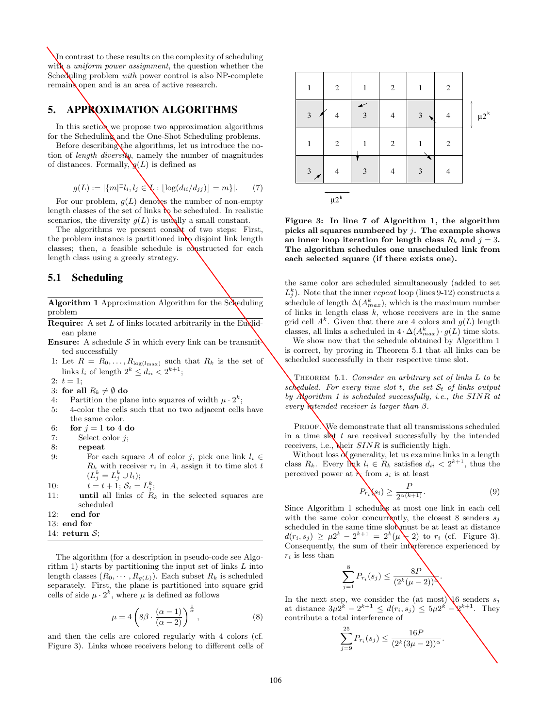In contrast to these results on the complexity of scheduling with a *uniform power assignment*, the question whether the Scheduling problem *with* power control is also NP-complete remains open and is an area of active research.

### **5. APPROXIMATION ALGORITHMS**

In this section we propose two approximation algorithms for the Scheduling and the One-Shot Scheduling problems.

Before describing the algorithms, let us introduce the notion of *length diversity*, namely the number of magnitudes of distances. Formally,  $\mathbf{g}(L)$  is defined as

$$
g(L) := |\{m | \exists l_i, l_j \in \mathbf{X} : \lfloor \log(d_{ii}/d_{jj}) \rfloor = m \}|. \tag{7}
$$

For our problem,  $g(L)$  denotes the number of non-empty length classes of the set of links  $\mathbf{b}_0$  be scheduled. In realistic scenarios, the diversity  $g(L)$  is usually a small constant.

The algorithms we present consist of two steps: First, the problem instance is partitioned into disjoint link length classes; then, a feasible schedule is constructed for each length class using a greedy strategy.

### **5.1 Scheduling**

Algorithm 1 Approximation Algorithm for the Scheduling problem

- **Require:** A set  $L$  of links located arbitrarily in the Euglidean plane
- **Ensure:** A schedule  $S$  in which every link can be transmit ted successfully
- 1: Let  $R = R_0, \ldots, R_{\log(l_{\text{max}})}$  such that  $R_k$  is the set of links  $l_i$  of length  $2^k \leq d_{ii} < 2^{k+1}$ ;
- 2:  $t = 1$ ;
- 3: for all  $R_k \neq \emptyset$  do 4: Partition the pla
- 4: Partition the plane into squares of width  $\mu \cdot 2^k$ ;<br>5: 4-color the cells such that no two adjacent cells
- 5: 4-color the cells such that no two adjacent cells have the same color.
- 6: for  $j = 1$  to 4 do
- 7: Select color j;
- 8: repeat
- 9: For each square A of color j, pick one link  $l_i \in$  $R_k$  with receiver  $r_i$  in A, assign it to time slot t  $(L_j^k = L_j^k \cup l_i);$
- 10:  $t = t + 1; S_t = L_j^k;$
- 11: **until** all links of  $R_k$  in the selected squares are scheduled
- 12: end for
- 13: end for
- 14: return  $S$ :

The algorithm (for a description in pseudo-code see Algorithm 1) starts by partitioning the input set of links  $L$  into length classes  $(R_0, \dots, R_{g(L)})$ . Each subset  $R_k$  is scheduled separately. First, the plane is partitioned into square grid cells of side  $\mu \cdot 2^k$ , where  $\mu$  is defined as follows

$$
\mu = 4\left(8\beta \cdot \frac{(\alpha - 1)}{(\alpha - 2)}\right)^{\frac{1}{\alpha}},\tag{8}
$$

and then the cells are colored regularly with 4 colors (cf. Figure 3). Links whose receivers belong to different cells of



Figure 3: In line 7 of Algorithm 1, the algorithm picks all squares numbered by  $i$ . The example shows an inner loop iteration for length class  $R_k$  and  $j = 3$ . The algorithm schedules one unscheduled link from each selected square (if there exists one).

the same color are scheduled simultaneously (added to set  $L_j^k$ ). Note that the inner repeat loop (lines 9-12) constructs a schedule of length  $\Delta(A_{max}^k)$ , which is the maximum number of links in length class  $k$ , whose receivers are in the same grid cell  $A^k$ . Given that there are 4 colors and  $g(L)$  length classes, all links a scheduled in  $4 \cdot \Delta(A_{max}^k) \cdot g(L)$  time slots.

We show now that the schedule obtained by Algorithm 1 is correct, by proving in Theorem 5.1 that all links can be scheduled successfully in their respective time slot.

THEOREM 5.1. Consider an arbitrary set of links  $L$  to be scheduled. For every time slot t, the set  $S_t$  of links output by Algorithm 1 is scheduled successfully, i.e., the SINR at every *intended receiver is larger than*  $\beta$ .

PROOF. We demonstrate that all transmissions scheduled in a time slot  $t$  are received successfully by the intended receivers, i.e.,  $\chi$ heir  $SINR$  is sufficiently high.

Without loss  $\delta$  generality, let us examine links in a length class  $R_k$ . Every link  $l_i \in R_k$  satisfies  $d_{ii} < 2^{k+1}$ , thus the perceived power at  $\lambda$  from  $s_i$  is at least

$$
P_{r_i}(s_i) \ge \frac{P}{2^{\alpha(k+1)}}.\tag{9}
$$

Since Algorithm 1 schedules at most one link in each cell with the same color concurrently, the closest 8 senders  $s_j$ scheduled in the same time slot must be at least at distance  $d(r_i, s_j) \geq \mu 2^k - 2^{k+1} = 2^k(\mu - 2)$  to  $r_i$  (cf. Figure 3). Consequently, the sum of their interference experienced by  $r_i$  is less than

$$
\sum_{j=1}^{8} P_{r_i}(s_j) \leq \frac{8P}{(2^k(\mu - 2))\Delta}.
$$

In the next step, we consider the (at most)  $\sqrt{6}$  senders  $s_i$ at distance  $3\mu 2^k - 2^{k+1} \leq d(r_i, s_j) \leq 5\mu 2^{k'} - 2^{k+1}$ . They contribute a total interference of

$$
\sum_{j=9}^{25} P_{r_i}(s_j) \le \frac{16P}{(2^k(3\mu - 2))^{\alpha}}.
$$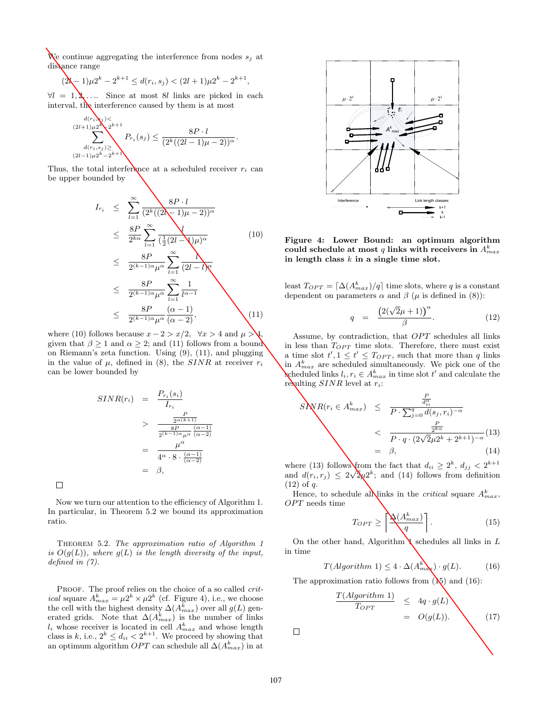We continue aggregating the interference from nodes  $s_i$  at distance range

$$
(2k-1)\mu 2^k - 2^{k+1} \leq d(r_i, s_j) < (2l+1)\mu 2^k - 2^{k+1},
$$

 $\forall l = 1, \lambda, \ldots$  Since at most 8l links are picked in each interval, the interference caused by them is at most

$$
\sum_{\substack{(2l+1)\mu^{2k} \\ d(r_i, s_j) \ge 0 \\ (2l-1)\mu^{2k} - 2^{k+1}}}^{d(r_i, s_j) < \sum_{j=1}^{k+1} P_{r_i}(s_j) \le \frac{8P \cdot l}{(2^k((2l-1)\mu - 2))^{\alpha}}.
$$

Thus, the total interference at a scheduled receiver  $r_i$  can be upper bounded by

$$
I_{r_i} \leq \sum_{l=1}^{\infty} \frac{8P \cdot l}{(2^k((2l-1)\mu-2))^{\alpha}}
$$
  
\n
$$
\leq \frac{8P}{2^{k\alpha}} \sum_{l=1}^{\infty} \frac{1}{(\frac{1}{2}(2l-\sqrt{\mu})^{\alpha}} \qquad (10)
$$
  
\n
$$
\leq \frac{8P}{2^{(k-1)\alpha}\mu^{\alpha}} \sum_{l=1}^{\infty} \frac{1}{(2l-l)^{\alpha}}
$$
  
\n
$$
\leq \frac{8P}{2^{(k-1)\alpha}\mu^{\alpha}} \sum_{l=1}^{\infty} \frac{1}{l^{\alpha-1}}
$$
  
\n
$$
\leq \frac{8P}{2^{(k-1)\alpha}\mu^{\alpha}} \frac{(\alpha-1)}{(\alpha-2)}, \qquad (11)
$$

where (10) follows because  $x - 2 > x/2$ ,  $\forall x > 4$  and  $\mu > 4$ . given that  $\beta \geq 1$  and  $\alpha \geq 2$ ; and (11) follows from a bound on Riemann's zeta function. Using (9), (11), and plugging in the value of  $\mu$ , defined in (8), the SINR at receiver  $r_i$ can be lower bounded by

$$
SINR(r_i) = \frac{P_{r_i}(s_i)}{I_{r_i}}
$$
  
> 
$$
\frac{\frac{P}{2^{\alpha(k+1)}}}{\frac{8P}{2^{(k-1)\alpha}\mu^{\alpha}}\frac{(\alpha-1)}{(\alpha-2)}}
$$
  
= 
$$
\frac{\mu^{\alpha}}{4^{\alpha} \cdot 8 \cdot \frac{(\alpha-1)}{(\alpha-2)}}
$$
  
= 
$$
\beta,
$$

 $\Box$ 

Now we turn our attention to the efficiency of Algorithm 1. In particular, in Theorem 5.2 we bound its approximation ratio.

THEOREM 5.2. The approximation ratio of Algorithm 1 is  $O(g(L))$ , where  $g(L)$  is the length diversity of the input, defined in (7).

PROOF. The proof relies on the choice of a so called *critical* square  $A_{max}^k = \mu 2^k \times \mu 2^k$  (cf. Figure 4), i.e., we choose the cell with the highest density  $\Delta(A_{max}^k)$  over all  $g(L)$  generated grids. Note that  $\Delta(A_{max}^k)$  is the number of links  $l_i$  whose receiver is located in cell  $A_{max}^k$  and whose length class is k, i.e.,  $2^k \leq d_{ii} < 2^{k+1}$ . We proceed by showing that an optimum algorithm  $OPT$  can schedule all  $\Delta(A_{max}^k)$  in at



Figure 4: Lower Bound: an optimum algorithm could schedule at most  $q$  links with receivers in  $A^k_{max}$ in length class  $k$  in a single time slot.

least  $T_{OPT} = \lceil \Delta(A_{max}^k)/q \rceil$  time slots, where q is a constant dependent on parameters  $\alpha$  and  $\beta$  ( $\mu$  is defined in (8)):

$$
q = \frac{\left(2(\sqrt{2}\mu + 1)\right)^{\alpha}}{\beta}.
$$
 (12)

Assume, by contradiction, that OPT schedules all links in less than  $T_{OPT}$  time slots. Therefore, there must exist a time slot  $t', 1 \leq t' \leq T_{OPT}$ , such that more than q links in  $A_{max}^k$  are scheduled simultaneously. We pick one of the scheduled links  $l_i, r_i \in A_{max}^k$  in time slot  $t'$  and calculate the resulting  $SINR$  level at  $r_i$ :

$$
SNR(r_i \in A_{max}^k) \leq \frac{\frac{P}{d_{ii}^{\alpha}}}{P \cdot \sum_{j=0}^q d(s_j, r_i)^{-\alpha}}
$$
  
< 
$$
< \frac{\frac{P}{2^{k\alpha}}}{P \cdot q \cdot (2\sqrt{2}\mu 2^k + 2^{k+1})^{-\alpha}} (13)
$$
  

$$
= \beta, \qquad (14)
$$

where (13) follows from the fact that  $d_{ii} \geq 2^k$ ,  $d_{jj} < 2^{k+1}$ and  $d(r_i, r_j) \leq 2\sqrt{\lambda} \mu^{2k}$ ; and (14) follows from definition  $(12)$  of q.

Hence, to schedule all links in the *critical* square  $A_{max}^k$ , OPT needs time

$$
T_{OPT} \ge \left\lceil \frac{\Delta(A_{max}^k)}{q} \right\rceil. \tag{15}
$$

On the other hand, Algorithm  $\Gamma$  schedules all links in L in time

$$
T(Algorithm 1) \le 4 \cdot \Delta(A_{m\alpha}^{k}) \cdot g(L). \tag{16}
$$

The approximation ratio follows from  $(\mathbb{N})$  and  $(16)$ :

$$
\frac{T(Algorithm 1)}{TopT} \leq 4q \cdot g(L)
$$
  
=  $O(g(L))$ . (17)

 $\Box$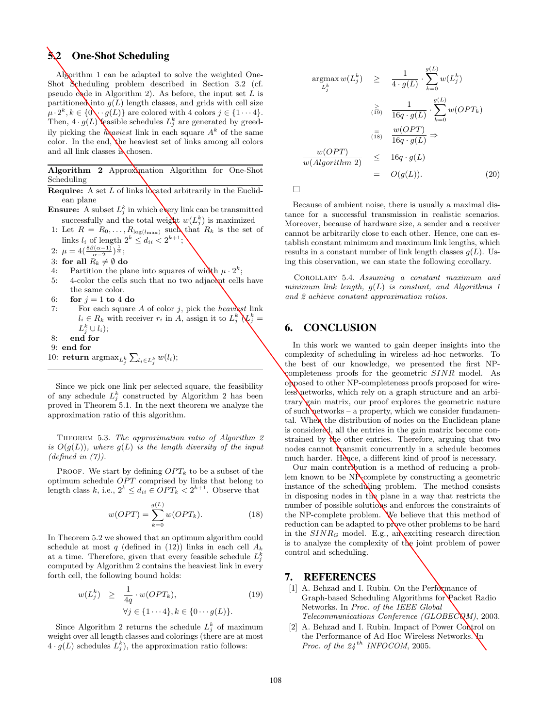# **5.2 One-Shot Scheduling**

Algorithm 1 can be adapted to solve the weighted One-Shot Scheduling problem described in Section 3.2 (cf. pseudo code in Algorithm 2). As before, the input set  $L$  is partitioned into  $g(L)$  length classes, and grids with cell size  $\mu \cdot 2^k, k \in \{0, \cdot\cdot g(L)\}\$ are colored with 4 colors  $j \in \{1 \cdots 4\}.$ Then,  $4 \cdot g(L)$  feasible schedules  $L_j^k$  are generated by greedily picking the heaviest link in each square  $A^k$  of the same color. In the end, the heaviest set of links among all colors and all link classes is chosen.

Algorithm 2 Approximation Algorithm for One-Shot Scheduling

- **Require:** A set L of links  $\log$  at a reduction at the Euclidean plane
- **Ensure:** A subset  $L_j^k$  in which every link can be transmitted successfully and the total weight  $w(L_j^k)$  is maximized
- 1: Let  $R = R_0, \ldots, R_{\log(l_{\text{max}})}$  such that  $R_k$  is the set of links  $l_i$  of length  $2^k \leq d_{ii} < 2^{k+1}$ ;
- 2:  $\mu = 4\left(\frac{8\beta(\alpha-1)}{\alpha-2}\right)^{\frac{1}{\alpha}};$
- 3: for all  $R_k \neq \emptyset$  do 4: Partition the pla
- 4: Partition the plane into squares of width  $\mu \cdot 2^k$ ;<br>5: 4-color the cells such that no two adjacent cells
- 4-color the cells such that no two adjacent cells have the same color.
- 6: for  $j = 1$  to 4 do
- 7: For each square A of color j, pick the heaviest link  $l_i \in R_k$  with receiver  $r_i$  in A, assign it to  $L_j^k \mathbf{Q}_j^k =$  $L_j^k\cup l_i);$
- 8: end for
- 9: end for
- 10: return  $\mathop{\mathrm{argmax}}_{L_j^k} \sum_{l_i \in L_j^k} w(l_i);$

Since we pick one link per selected square, the feasibility of any schedule  $L_j^k$  constructed by Algorithm 2 has been proved in Theorem 5.1. In the next theorem we analyze the approximation ratio of this algorithm.

THEOREM 5.3. The approximation ratio of Algorithm 2 is  $O(g(L))$ , where  $g(L)$  is the length diversity of the input (defined in  $(7)$ ).

PROOF. We start by defining  $OPT_k$  to be a subset of the optimum schedule OPT comprised by links that belong to length class k, i.e.,  $2^k \leq d_{ii} \in OPT_k < 2^{k+1}$ . Observe that

$$
w(OPT) = \sum_{k=0}^{g(L)} w(OPT_k).
$$
 (18)

In Theorem 5.2 we showed that an optimum algorithm could schedule at most q (defined in (12)) links in each cell  $A_k$ at a time. Therefore, given that every feasible schedule  $L_j^k$ computed by Algorithm 2 contains the heaviest link in every forth cell, the following bound holds:

$$
w(L_j^k) \geq \frac{1}{4q} \cdot w(OPT_k),
$$
  
\n
$$
\forall j \in \{1 \cdots 4\}, k \in \{0 \cdots g(L)\}.
$$
 (19)

Since Algorithm 2 returns the schedule  $L_j^k$  of maximum weight over all length classes and colorings (there are at most  $4 \cdot g(L)$  schedules  $L_j^k$ , the approximation ratio follows:

$$
\underset{L_j^k}{\operatorname{argmax}} w(L_j^k) \geq \frac{1}{4 \cdot g(L)} \cdot \sum_{k=0}^{g(L)} w(L_j^k)
$$
\n
$$
\geq \frac{1}{16q \cdot g(L)} \cdot \sum_{k=0}^{g(L)} w(OPT_k)
$$
\n
$$
\stackrel{=}{\overline{(18)}} \frac{w(OPT)}{16q \cdot g(L)} \Rightarrow
$$
\n
$$
\frac{w(OPT)}{w(Algorithm 2)} \leq 16q \cdot g(L)
$$
\n
$$
= O(g(L)). \tag{20}
$$

 $\Box$ 

Because of ambient noise, there is usually a maximal distance for a successful transmission in realistic scenarios. Moreover, because of hardware size, a sender and a receiver cannot be arbitrarily close to each other. Hence, one can establish constant minimum and maximum link lengths, which results in a constant number of link length classes  $q(L)$ . Using this observation, we can state the following corollary.

Corollary 5.4. Assuming a constant maximum and minimum link length,  $g(L)$  is constant, and Algorithms 1 and 2 achieve constant approximation ratios.

### **6. CONCLUSION**

In this work we wanted to gain deeper insights into the complexity of scheduling in wireless ad-hoc networks. To the best of our knowledge, we presented the first NPcompleteness proofs for the geometric SINR model. As opposed to other NP-completeness proofs proposed for wireless networks, which rely on a graph structure and an arbitrary gain matrix, our proof explores the geometric nature of such networks – a property, which we consider fundamental. When the distribution of nodes on the Euclidean plane is considered, all the entries in the gain matrix become constrained by  $\partial \phi$  other entries. Therefore, arguing that two nodes cannot transmit concurrently in a schedule becomes much harder. Hence, a different kind of proof is necessary.

Our main contribution is a method of reducing a problem known to be NP-complete by constructing a geometric instance of the scheduling problem. The method consists in disposing nodes in the plane in a way that restricts the number of possible solutions and enforces the constraints of the NP-complete problem. We believe that this method of reduction can be adapted to prove other problems to be hard in the  $SINR_G$  model. E.g., an exciting research direction is to analyze the complexity of the joint problem of power control and scheduling.

### **7. REFERENCES**

- [1] A. Behzad and I. Rubin. On the Performance of Graph-based Scheduling Algorithms for Packet Radio Networks. In Proc. of the IEEE Global  $Telecommunications Conference (GLOBECQM), 2003.$
- [2] A. Behzad and I. Rubin. Impact of Power Control on the Performance of Ad Hoc Wireless Networks. In Proc. of the  $24^{th}$  INFOCOM, 2005.